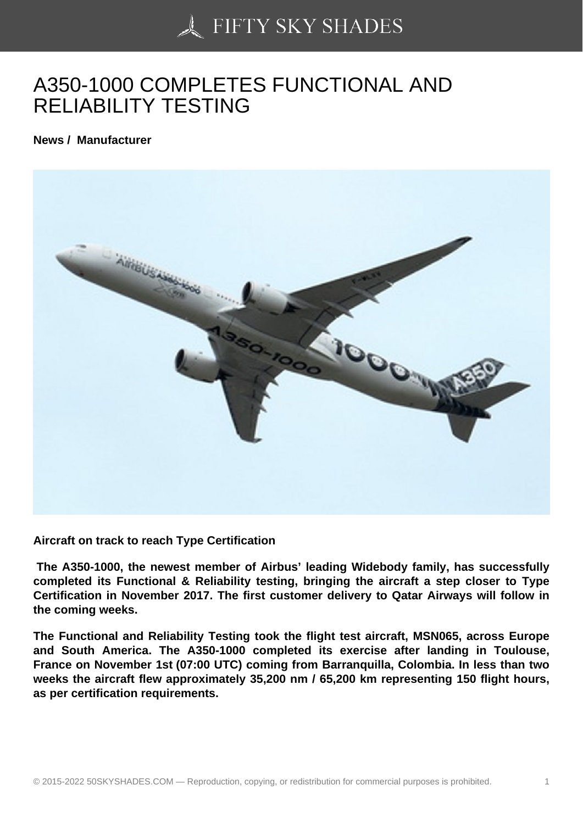## [A350-1000 COMPLET](https://50skyshades.com)ES FUNCTIONAL AND RELIABILITY TESTING

News / Manufacturer

Aircraft on track to reach Type Certification

 The A350-1000, the newest member of Airbus' leading Widebody family, has successfully completed its Functional & Reliability testing, bringing the aircraft a step closer to Type Certification in November 2017. The first customer delivery to Qatar Airways will follow in the coming weeks.

The Functional and Reliability Testing took the flight test aircraft, MSN065, across Europe and South America. The A350-1000 completed its exercise after landing in Toulouse, France on November 1st (07:00 UTC) coming from Barranquilla, Colombia. In less than two weeks the aircraft flew approximately 35,200 nm / 65,200 km representing 150 flight hours, as per certification requirements.